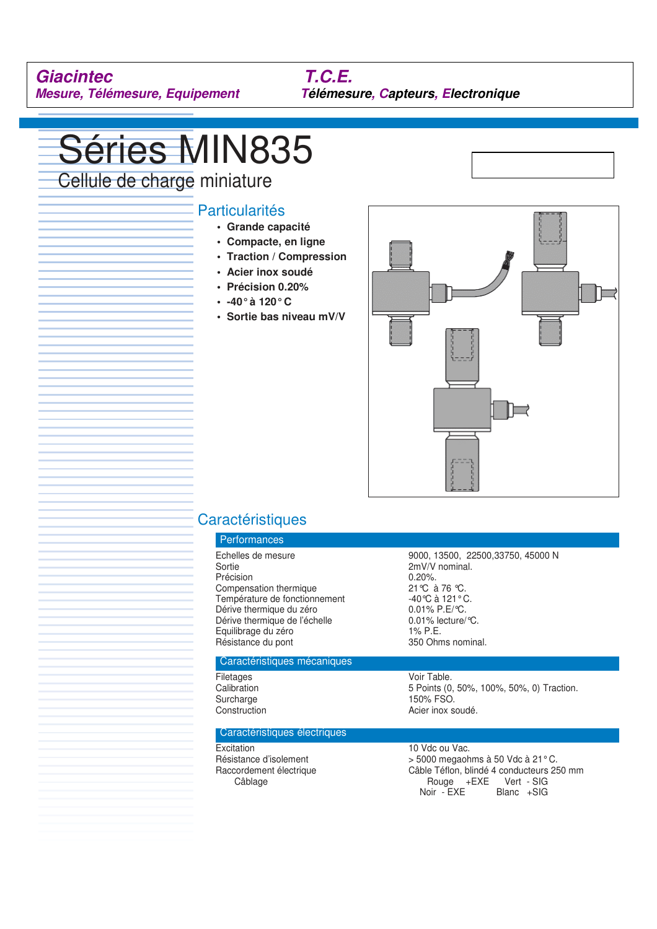**Mesure, Télémesure, Equipement Télémesure, Capteurs, Electronique**

# Séries MIN835

Cellule de charge miniature

## Particularités

- **Grande capacité**
- **Compacte, en ligne**
- **Traction / Compression**
- **Acier inox soudé**
- **Précision 0.20%**
- **-40° à 120° C**
- **Sortie bas niveau mV/V**



# **Caractéristiques**

## Performances Précision 0.20%.<br>Compensation thermique 0.21 °C à 76 °C. Compensation thermique 21 °C à 76 °C.<br>
Température de fonctionnement 40 °C à 121 °C. Température de fonctionnement -40 ℃ à 121 ° C.<br>Dérive thermique du zéro 0.01% P.E/℃. Dérive thermique du zéro  $0.01\%$  P.E/°C.<br>Dérive thermique de l'échelle  $0.01\%$  lecture/°C. Dérive thermique de l'échelle Equilibrage du zéro 1% P.E. Résistance du pont 350 Ohms nominal.

Echelles de mesure<br>
9000, 13500, 22500, 33750, 45000 N<br>
2mV/V nominal.  $2mV/V$  nominal.<br>0.20%.

### Caractéristiques mécaniques

Filetages Voir Table.<br>Calibration 6. The Calibration of the Calibration of the Collection of the Collection of the Collection of the<br>Second Second Collection of the Collection of the Collection of the Collection of the Col Surcharge 150% FSO. Construction **Acier** inox soudé.

Caractéristiques électriques

Excitation 10 Vdc ou Vac.<br>
Résistance d'isolement 10 voltons > 5000 megaoh

 $>$  5000 megaohms à 50 Vdc à 21 ° C. Raccordement électrique  $\begin{array}{ccc} \text{Câble Téflon, blindé 4 conducteurs 250 mm} \\ \text{Câblage} & +\text{EXE} & \text{Vert - SIG} \end{array}$ Câblage Cablage Rouge +EXE Vert - SIG Noir - EXE Blanc +SIG

5 Points (0, 50%, 100%, 50%, 0) Traction.